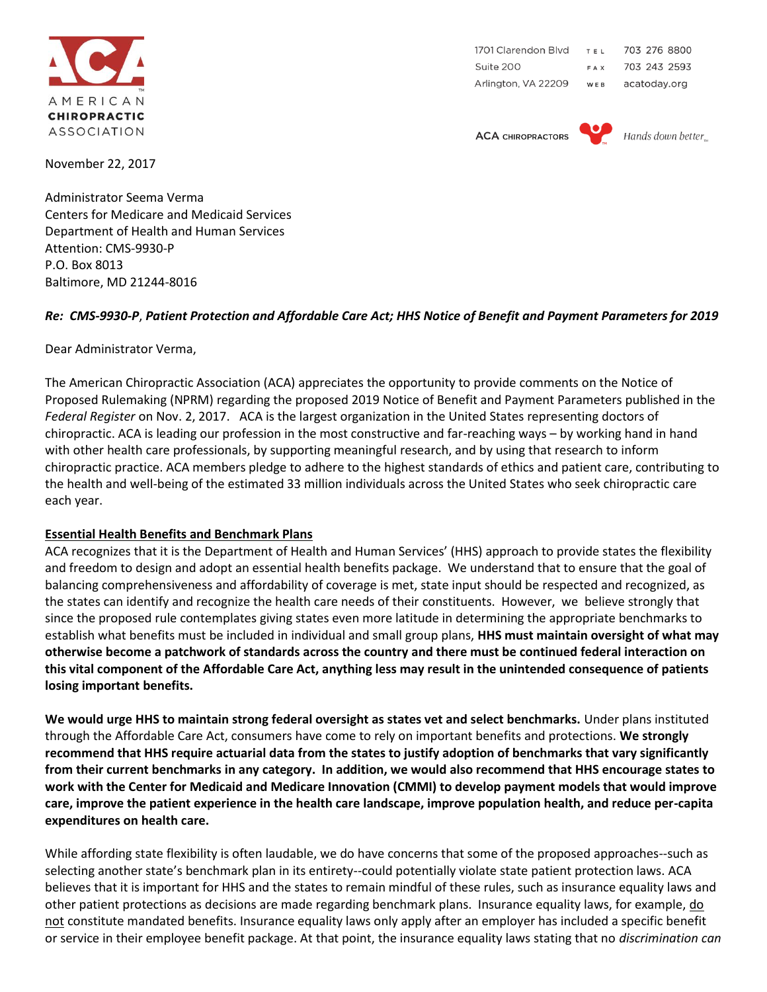

1701 Clarendon Blvd 703 276 8800 TEL 703 243 2593 Suite 200 FAX Arlington, VA 22209 acatoday.org WEB

**ACA CHIROPRACTORS** 



Hands down better

November 22, 2017

Administrator Seema Verma Centers for Medicare and Medicaid Services Department of Health and Human Services Attention: CMS-9930-P P.O. Box 8013 Baltimore, MD 21244-8016

## *Re: CMS-9930-P*, *Patient Protection and Affordable Care Act; HHS Notice of Benefit and Payment Parameters for 2019*

Dear Administrator Verma,

The American Chiropractic Association (ACA) appreciates the opportunity to provide comments on the Notice of Proposed Rulemaking (NPRM) regarding the proposed 2019 Notice of Benefit and Payment Parameters published in the *Federal Register* on Nov. 2, 2017. ACA is the largest organization in the United States representing doctors of chiropractic. ACA is leading our profession in the most constructive and far-reaching ways – by working hand in hand with other health care professionals, by supporting meaningful research, and by using that research to inform chiropractic practice. ACA members pledge to adhere to the highest standards of ethics and patient care, contributing to the health and well-being of the estimated 33 million individuals across the United States who seek chiropractic care each year.

## **Essential Health Benefits and Benchmark Plans**

ACA recognizes that it is the Department of Health and Human Services' (HHS) approach to provide states the flexibility and freedom to design and adopt an essential health benefits package. We understand that to ensure that the goal of balancing comprehensiveness and affordability of coverage is met, state input should be respected and recognized, as the states can identify and recognize the health care needs of their constituents. However, we believe strongly that since the proposed rule contemplates giving states even more latitude in determining the appropriate benchmarks to establish what benefits must be included in individual and small group plans, **HHS must maintain oversight of what may otherwise become a patchwork of standards across the country and there must be continued federal interaction on this vital component of the Affordable Care Act, anything less may result in the unintended consequence of patients losing important benefits.** 

**We would urge HHS to maintain strong federal oversight as states vet and select benchmarks.** Under plans instituted through the Affordable Care Act, consumers have come to rely on important benefits and protections. **We strongly recommend that HHS require actuarial data from the states to justify adoption of benchmarks that vary significantly from their current benchmarks in any category. In addition, we would also recommend that HHS encourage states to work with the Center for Medicaid and Medicare Innovation (CMMI) to develop payment models that would improve care, improve the patient experience in the health care landscape, improve population health, and reduce per-capita expenditures on health care.**

While affording state flexibility is often laudable, we do have concerns that some of the proposed approaches--such as selecting another state's benchmark plan in its entirety--could potentially violate state patient protection laws. ACA believes that it is important for HHS and the states to remain mindful of these rules, such as insurance equality laws and other patient protections as decisions are made regarding benchmark plans. Insurance equality laws, for example, do not constitute mandated benefits. Insurance equality laws only apply after an employer has included a specific benefit or service in their employee benefit package. At that point, the insurance equality laws stating that no *discrimination can*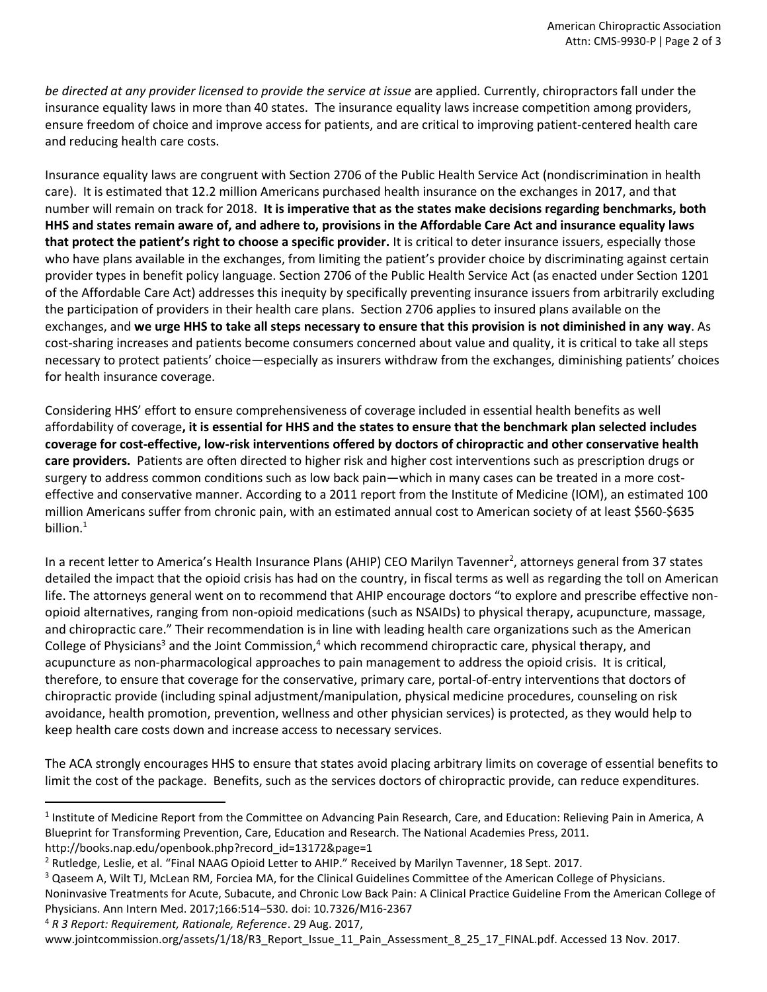*be directed at any provider licensed to provide the service at issue* are applied*.* Currently, chiropractors fall under the insurance equality laws in more than 40 states.The insurance equality laws increase competition among providers, ensure freedom of choice and improve access for patients, and are critical to improving patient-centered health care and reducing health care costs.

Insurance equality laws are congruent with Section 2706 of the Public Health Service Act (nondiscrimination in health care). It is estimated that 12.2 million Americans purchased health insurance on the exchanges in 2017, and that number will remain on track for 2018. **It is imperative that as the states make decisions regarding benchmarks, both HHS and states remain aware of, and adhere to, provisions in the Affordable Care Act and insurance equality laws that protect the patient's right to choose a specific provider.** It is critical to deter insurance issuers, especially those who have plans available in the exchanges, from limiting the patient's provider choice by discriminating against certain provider types in benefit policy language. Section 2706 of the Public Health Service Act (as enacted under Section 1201 of the Affordable Care Act) addresses this inequity by specifically preventing insurance issuers from arbitrarily excluding the participation of providers in their health care plans. Section 2706 applies to insured plans available on the exchanges, and **we urge HHS to take all steps necessary to ensure that this provision is not diminished in any way**. As cost-sharing increases and patients become consumers concerned about value and quality, it is critical to take all steps necessary to protect patients' choice—especially as insurers withdraw from the exchanges, diminishing patients' choices for health insurance coverage.

Considering HHS' effort to ensure comprehensiveness of coverage included in essential health benefits as well affordability of coverage**, it is essential for HHS and the states to ensure that the benchmark plan selected includes coverage for cost-effective, low-risk interventions offered by doctors of chiropractic and other conservative health care providers.** Patients are often directed to higher risk and higher cost interventions such as prescription drugs or surgery to address common conditions such as low back pain—which in many cases can be treated in a more costeffective and conservative manner. According to a 2011 report from the Institute of Medicine (IOM), an estimated 100 million Americans suffer from chronic pain, with an estimated annual cost to American society of at least \$560-\$635 billion. $1$ 

In a recent letter to America's Health Insurance Plans (AHIP) CEO Marilyn Tavenner<sup>2</sup>, attorneys general from 37 states detailed the impact that the opioid crisis has had on the country, in fiscal terms as well as regarding the toll on American life. The attorneys general went on to recommend that AHIP encourage doctors "to explore and prescribe effective nonopioid alternatives, ranging from non-opioid medications (such as NSAIDs) to physical therapy, acupuncture, massage, and chiropractic care." Their recommendation is in line with leading health care organizations such as the American College of Physicians<sup>3</sup> and the Joint Commission,<sup>4</sup> which recommend chiropractic care, physical therapy, and acupuncture as non-pharmacological approaches to pain management to address the opioid crisis. It is critical, therefore, to ensure that coverage for the conservative, primary care, portal-of-entry interventions that doctors of chiropractic provide (including spinal adjustment/manipulation, physical medicine procedures, counseling on risk avoidance, health promotion, prevention, wellness and other physician services) is protected, as they would help to keep health care costs down and increase access to necessary services.

The ACA strongly encourages HHS to ensure that states avoid placing arbitrary limits on coverage of essential benefits to limit the cost of the package. Benefits, such as the services doctors of chiropractic provide, can reduce expenditures.

<sup>4</sup> *R 3 Report: Requirement, Rationale, Reference*. 29 Aug. 2017,

l

www.jointcommission.org/assets/1/18/R3\_Report\_Issue\_11\_Pain\_Assessment\_8\_25\_17\_FINAL.pdf. Accessed 13 Nov. 2017.

<sup>&</sup>lt;sup>1</sup> Institute of Medicine Report from the Committee on Advancing Pain Research, Care, and Education: Relieving Pain in America, A Blueprint for Transforming Prevention, Care, Education and Research. The National Academies Press, 2011. http://books.nap.edu/openbook.php?record\_id=13172&page=1

<sup>2</sup> Rutledge, Leslie, et al. "Final NAAG Opioid Letter to AHIP." Received by Marilyn Tavenner, 18 Sept. 2017.

<sup>&</sup>lt;sup>3</sup> Qaseem A, Wilt TJ, McLean RM, Forciea MA, for the Clinical Guidelines Committee of the American College of Physicians.

Noninvasive Treatments for Acute, Subacute, and Chronic Low Back Pain: A Clinical Practice Guideline From the American College of Physicians. Ann Intern Med. 2017;166:514–530. doi: 10.7326/M16-2367